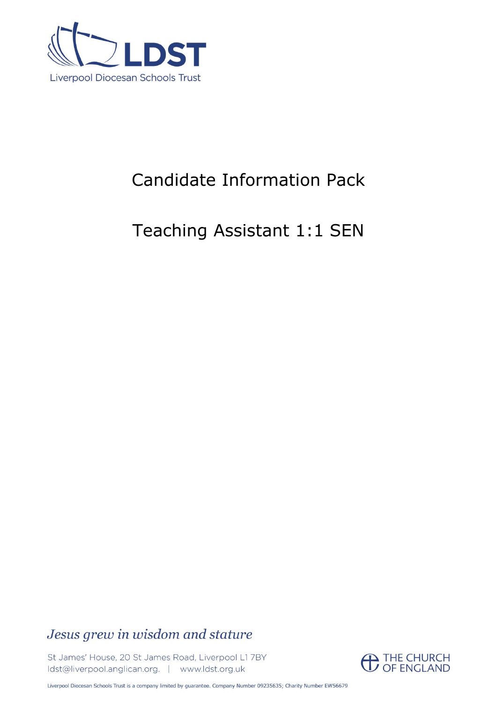

# Candidate Information Pack

# Teaching Assistant 1:1 SEN

## Jesus grew in wisdom and stature

St James' House, 20 St James Road, Liverpool L1 7BY Idst@liverpool.anglican.org. | www.ldst.org.uk

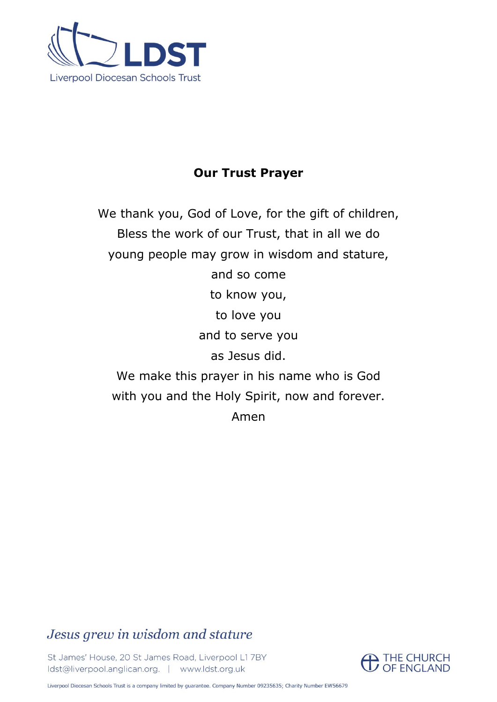

## **Our Trust Prayer**

We thank you, God of Love, for the gift of children, Bless the work of our Trust, that in all we do young people may grow in wisdom and stature, and so come to know you, to love you and to serve you as Jesus did. We make this prayer in his name who is God with you and the Holy Spirit, now and forever. Amen

## Jesus grew in wisdom and stature

St James' House, 20 St James Road, Liverpool L1 7BY Idst@liverpool.anglican.org. | www.ldst.org.uk

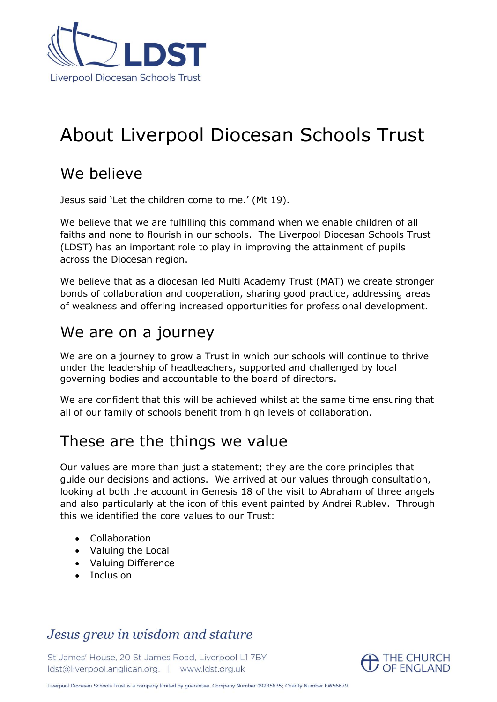

# About Liverpool Diocesan Schools Trust

## We believe

Jesus said 'Let the children come to me.' (Mt 19).

We believe that we are fulfilling this command when we enable children of all faiths and none to flourish in our schools. The Liverpool Diocesan Schools Trust (LDST) has an important role to play in improving the attainment of pupils across the Diocesan region.

We believe that as a diocesan led Multi Academy Trust (MAT) we create stronger bonds of collaboration and cooperation, sharing good practice, addressing areas of weakness and offering increased opportunities for professional development.

## We are on a journey

We are on a journey to grow a Trust in which our schools will continue to thrive under the leadership of headteachers, supported and challenged by local governing bodies and accountable to the board of directors.

We are confident that this will be achieved whilst at the same time ensuring that all of our family of schools benefit from high levels of collaboration.

## These are the things we value

Our values are more than just a statement; they are the core principles that guide our decisions and actions. We arrived at our values through consultation, looking at both the account in Genesis 18 of the visit to Abraham of three angels and also particularly at the icon of this event painted by Andrei Rublev. Through this we identified the core values to our Trust:

- Collaboration
- Valuing the Local
- Valuing Difference
- Inclusion

## Jesus grew in wisdom and stature

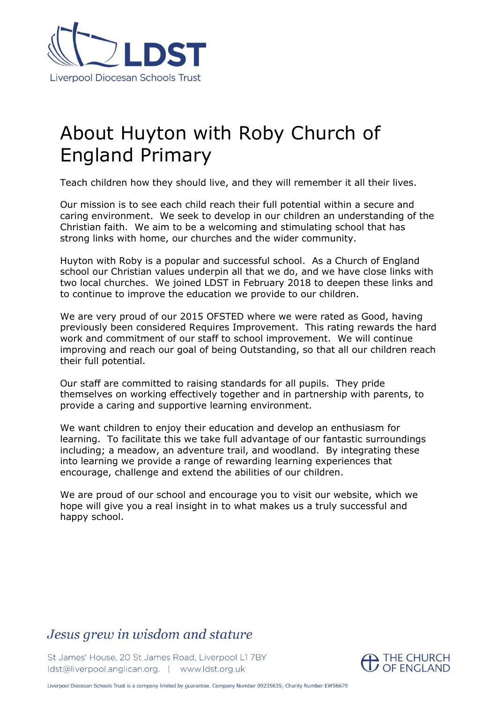

# About Huyton with Roby Church of England Primary

Teach children how they should live, and they will remember it all their lives.

Our mission is to see each child reach their full potential within a secure and caring environment. We seek to develop in our children an understanding of the Christian faith. We aim to be a welcoming and stimulating school that has strong links with home, our churches and the wider community.

Huyton with Roby is a popular and successful school. As a Church of England school our Christian values underpin all that we do, and we have close links with two local churches. We joined LDST in February 2018 to deepen these links and to continue to improve the education we provide to our children.

We are very proud of our 2015 OFSTED where we were rated as Good, having previously been considered Requires Improvement. This rating rewards the hard work and commitment of our staff to school improvement. We will continue improving and reach our goal of being Outstanding, so that all our children reach their full potential.

Our staff are committed to raising standards for all pupils. They pride themselves on working effectively together and in partnership with parents, to provide a caring and supportive learning environment.

We want children to enjoy their education and develop an enthusiasm for learning. To facilitate this we take full advantage of our fantastic surroundings including; a meadow, an adventure trail, and woodland. By integrating these into learning we provide a range of rewarding learning experiences that encourage, challenge and extend the abilities of our children.

We are proud of our school and encourage you to visit our website, which we hope will give you a real insight in to what makes us a truly successful and happy school.

### Jesus grew in wisdom and stature

St James' House, 20 St James Road, Liverpool L1 7BY Idst@liverpool.anglican.org. | www.ldst.org.uk

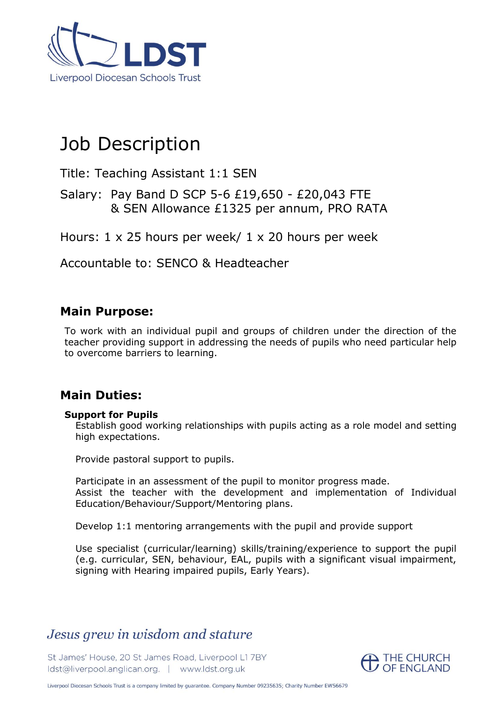

# Job Description

Title: Teaching Assistant 1:1 SEN

Salary: Pay Band D SCP 5-6 £19,650 - £20,043 FTE & SEN Allowance £1325 per annum, PRO RATA

Hours: 1 x 25 hours per week/ 1 x 20 hours per week

Accountable to: SENCO & Headteacher

### **Main Purpose:**

To work with an individual pupil and groups of children under the direction of the teacher providing support in addressing the needs of pupils who need particular help to overcome barriers to learning.

### **Main Duties:**

#### **Support for Pupils**

Establish good working relationships with pupils acting as a role model and setting high expectations.

Provide pastoral support to pupils.

Participate in an assessment of the pupil to monitor progress made. Assist the teacher with the development and implementation of Individual Education/Behaviour/Support/Mentoring plans.

Develop 1:1 mentoring arrangements with the pupil and provide support

Use specialist (curricular/learning) skills/training/experience to support the pupil (e.g. curricular, SEN, behaviour, EAL, pupils with a significant visual impairment, signing with Hearing impaired pupils, Early Years).

## Jesus grew in wisdom and stature

St James' House, 20 St James Road, Liverpool L1 7BY Idst@liverpool.anglican.org. | www.ldst.org.uk

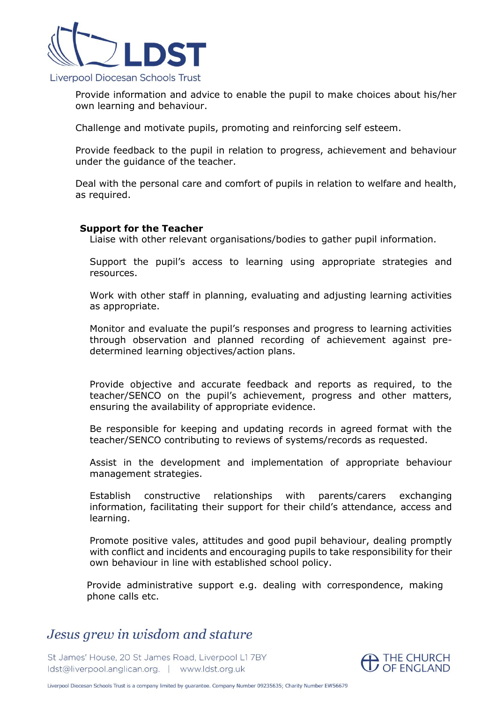

Provide information and advice to enable the pupil to make choices about his/her own learning and behaviour.

Challenge and motivate pupils, promoting and reinforcing self esteem.

Provide feedback to the pupil in relation to progress, achievement and behaviour under the guidance of the teacher.

Deal with the personal care and comfort of pupils in relation to welfare and health, as required.

#### **Support for the Teacher**

Liaise with other relevant organisations/bodies to gather pupil information.

Support the pupil's access to learning using appropriate strategies and resources.

Work with other staff in planning, evaluating and adjusting learning activities as appropriate.

Monitor and evaluate the pupil's responses and progress to learning activities through observation and planned recording of achievement against predetermined learning objectives/action plans.

Provide objective and accurate feedback and reports as required, to the teacher/SENCO on the pupil's achievement, progress and other matters, ensuring the availability of appropriate evidence.

Be responsible for keeping and updating records in agreed format with the teacher/SENCO contributing to reviews of systems/records as requested.

Assist in the development and implementation of appropriate behaviour management strategies.

Establish constructive relationships with parents/carers exchanging information, facilitating their support for their child's attendance, access and learning.

Promote positive vales, attitudes and good pupil behaviour, dealing promptly with conflict and incidents and encouraging pupils to take responsibility for their own behaviour in line with established school policy.

Provide administrative support e.g. dealing with correspondence, making phone calls etc.

## Jesus grew in wisdom and stature

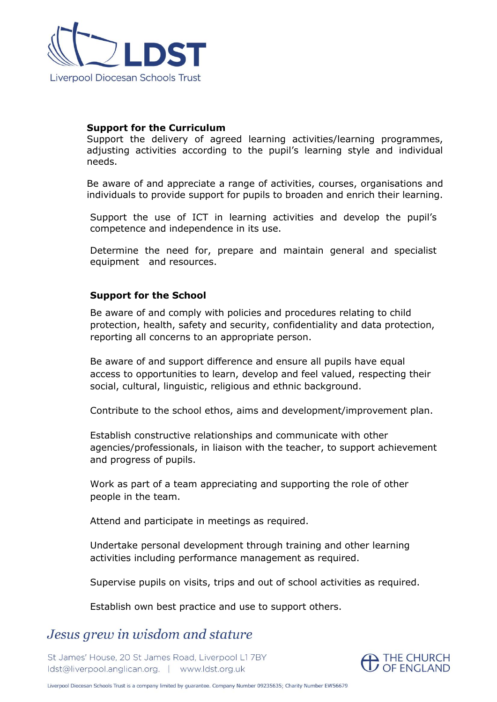

#### **Support for the Curriculum**

Support the delivery of agreed learning activities/learning programmes, adjusting activities according to the pupil's learning style and individual needs.

Be aware of and appreciate a range of activities, courses, organisations and individuals to provide support for pupils to broaden and enrich their learning.

Support the use of ICT in learning activities and develop the pupil's competence and independence in its use.

Determine the need for, prepare and maintain general and specialist equipment and resources.

#### **Support for the School**

Be aware of and comply with policies and procedures relating to child protection, health, safety and security, confidentiality and data protection, reporting all concerns to an appropriate person.

Be aware of and support difference and ensure all pupils have equal access to opportunities to learn, develop and feel valued, respecting their social, cultural, linguistic, religious and ethnic background.

Contribute to the school ethos, aims and development/improvement plan.

Establish constructive relationships and communicate with other agencies/professionals, in liaison with the teacher, to support achievement and progress of pupils.

Work as part of a team appreciating and supporting the role of other people in the team.

Attend and participate in meetings as required.

Undertake personal development through training and other learning activities including performance management as required.

Supervise pupils on visits, trips and out of school activities as required.

Establish own best practice and use to support others.

### Jesus grew in wisdom and stature

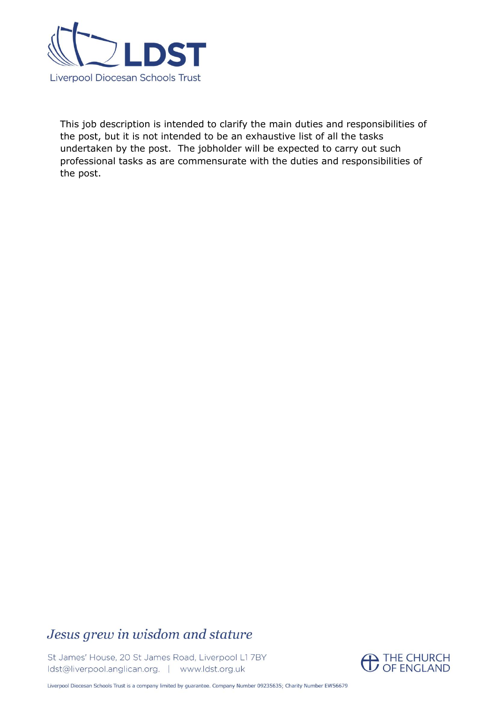

This job description is intended to clarify the main duties and responsibilities of the post, but it is not intended to be an exhaustive list of all the tasks undertaken by the post. The jobholder will be expected to carry out such professional tasks as are commensurate with the duties and responsibilities of the post.

## Jesus grew in wisdom and stature

St James' House, 20 St James Road, Liverpool L1 7BY Idst@liverpool.anglican.org. | www.ldst.org.uk

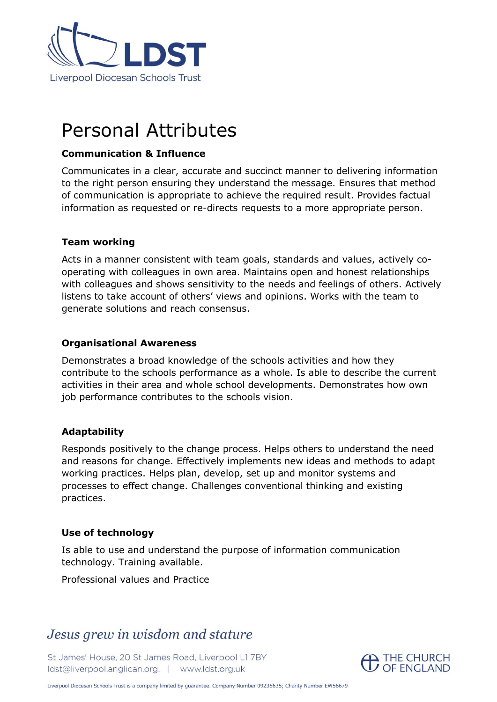

# Personal Attributes

#### **Communication & Influence**

Communicates in a clear, accurate and succinct manner to delivering information to the right person ensuring they understand the message. Ensures that method of communication is appropriate to achieve the required result. Provides factual information as requested or re-directs requests to a more appropriate person.

#### **Team working**

Acts in a manner consistent with team goals, standards and values, actively cooperating with colleagues in own area. Maintains open and honest relationships with colleagues and shows sensitivity to the needs and feelings of others. Actively listens to take account of others' views and opinions. Works with the team to generate solutions and reach consensus.

#### **Organisational Awareness**

Demonstrates a broad knowledge of the schools activities and how they contribute to the schools performance as a whole. Is able to describe the current activities in their area and whole school developments. Demonstrates how own job performance contributes to the schools vision.

#### **Adaptability**

Responds positively to the change process. Helps others to understand the need and reasons for change. Effectively implements new ideas and methods to adapt working practices. Helps plan, develop, set up and monitor systems and processes to effect change. Challenges conventional thinking and existing practices.

#### **Use of technology**

Is able to use and understand the purpose of information communication technology. Training available.

Professional values and Practice

## Jesus grew in wisdom and stature

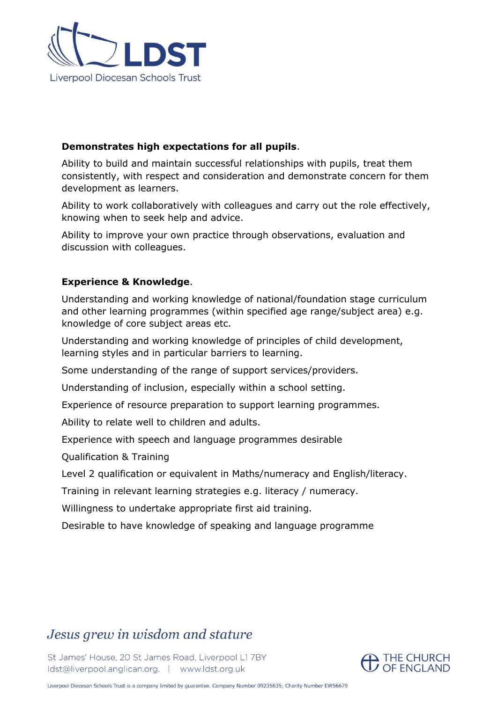

#### **Demonstrates high expectations for all pupils**.

Ability to build and maintain successful relationships with pupils, treat them consistently, with respect and consideration and demonstrate concern for them development as learners.

Ability to work collaboratively with colleagues and carry out the role effectively, knowing when to seek help and advice.

Ability to improve your own practice through observations, evaluation and discussion with colleagues.

#### **Experience & Knowledge**.

Understanding and working knowledge of national/foundation stage curriculum and other learning programmes (within specified age range/subject area) e.g. knowledge of core subject areas etc.

Understanding and working knowledge of principles of child development, learning styles and in particular barriers to learning.

Some understanding of the range of support services/providers.

Understanding of inclusion, especially within a school setting.

Experience of resource preparation to support learning programmes.

Ability to relate well to children and adults.

Experience with speech and language programmes desirable

Qualification & Training

Level 2 qualification or equivalent in Maths/numeracy and English/literacy.

Training in relevant learning strategies e.g. literacy / numeracy.

Willingness to undertake appropriate first aid training.

Desirable to have knowledge of speaking and language programme

## Jesus grew in wisdom and stature

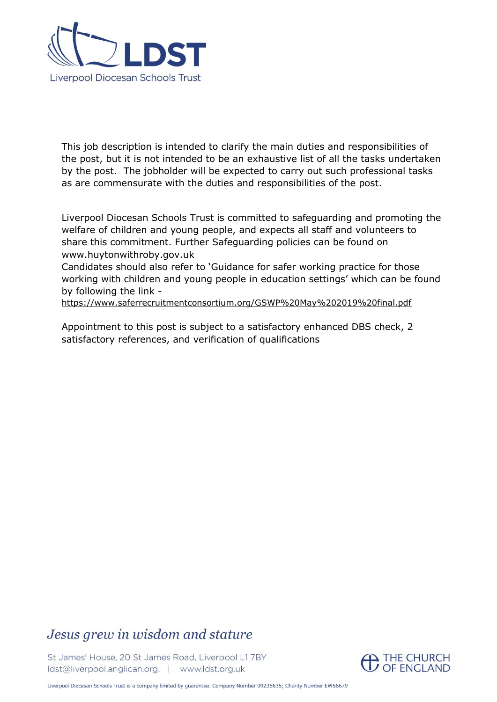

This job description is intended to clarify the main duties and responsibilities of the post, but it is not intended to be an exhaustive list of all the tasks undertaken by the post. The jobholder will be expected to carry out such professional tasks as are commensurate with the duties and responsibilities of the post.

Liverpool Diocesan Schools Trust is committed to safeguarding and promoting the welfare of children and young people, and expects all staff and volunteers to share this commitment. Further Safeguarding policies can be found on www.huytonwithroby.gov.uk

Candidates should also refer to 'Guidance for safer working practice for those working with children and young people in education settings' which can be found by following the link -

<https://www.saferrecruitmentconsortium.org/GSWP%20May%202019%20final.pdf>

Appointment to this post is subject to a satisfactory enhanced DBS check, 2 satisfactory references, and verification of qualifications

## Jesus grew in wisdom and stature